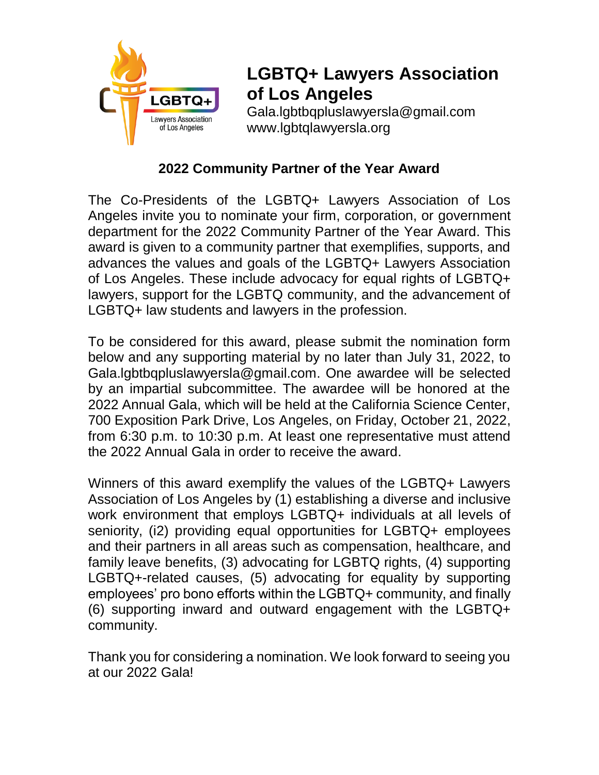

# **LGBTQ+ Lawyers Association of Los Angeles**

Gala.lgbtbqpluslawyersla@gmail.com www.lgbtqlawyersla.org

### **2022 Community Partner of the Year Award**

The Co-Presidents of the LGBTQ+ Lawyers Association of Los Angeles invite you to nominate your firm, corporation, or government department for the 2022 Community Partner of the Year Award. This award is given to a community partner that exemplifies, supports, and advances the values and goals of the LGBTQ+ Lawyers Association of Los Angeles. These include advocacy for equal rights of LGBTQ+ lawyers, support for the LGBTQ community, and the advancement of LGBTQ+ law students and lawyers in the profession.

To be considered for this award, please submit the nomination form below and any supporting material by no later than July 31, 2022, to Gala.lgbtbqpluslawyersla@gmail.com. One awardee will be selected by an impartial subcommittee. The awardee will be honored at the 2022 Annual Gala, which will be held at the California Science Center, 700 Exposition Park Drive, Los Angeles, on Friday, October 21, 2022, from 6:30 p.m. to 10:30 p.m. At least one representative must attend the 2022 Annual Gala in order to receive the award.

Winners of this award exemplify the values of the LGBTQ+ Lawyers Association of Los Angeles by (1) establishing a diverse and inclusive work environment that employs LGBTQ+ individuals at all levels of seniority, (i2) providing equal opportunities for LGBTQ+ employees and their partners in all areas such as compensation, healthcare, and family leave benefits, (3) advocating for LGBTQ rights, (4) supporting LGBTQ+-related causes, (5) advocating for equality by supporting employees' pro bono efforts within the LGBTQ+ community, and finally (6) supporting inward and outward engagement with the LGBTQ+ community.

Thank you for considering a nomination. We look forward to seeing you at our 2022 Gala!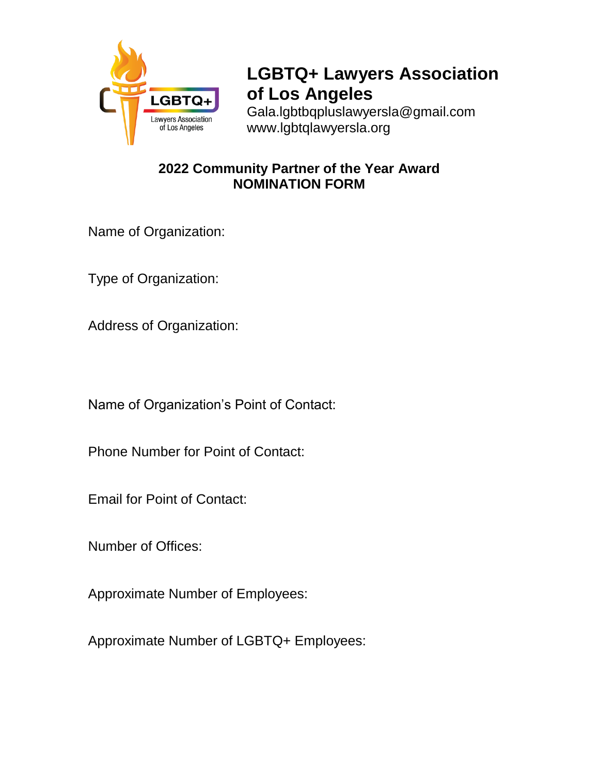

# **LGBTQ+ Lawyers Association of Los Angeles**

Gala.lgbtbqpluslawyersla@gmail.com www.lgbtqlawyersla.org

#### **2022 Community Partner of the Year Award NOMINATION FORM**

Name of Organization:

Type of Organization:

Address of Organization:

Name of Organization's Point of Contact:

Phone Number for Point of Contact:

Email for Point of Contact:

Number of Offices:

Approximate Number of Employees:

Approximate Number of LGBTQ+ Employees: